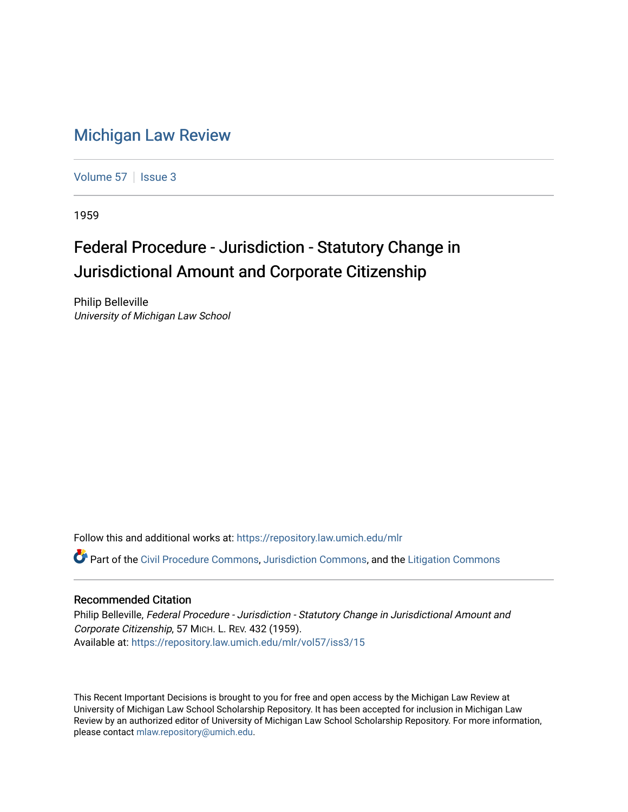## [Michigan Law Review](https://repository.law.umich.edu/mlr)

[Volume 57](https://repository.law.umich.edu/mlr/vol57) | [Issue 3](https://repository.law.umich.edu/mlr/vol57/iss3)

1959

## Federal Procedure - Jurisdiction - Statutory Change in Jurisdictional Amount and Corporate Citizenship

Philip Belleville University of Michigan Law School

Follow this and additional works at: [https://repository.law.umich.edu/mlr](https://repository.law.umich.edu/mlr?utm_source=repository.law.umich.edu%2Fmlr%2Fvol57%2Fiss3%2F15&utm_medium=PDF&utm_campaign=PDFCoverPages) 

Part of the [Civil Procedure Commons,](http://network.bepress.com/hgg/discipline/584?utm_source=repository.law.umich.edu%2Fmlr%2Fvol57%2Fiss3%2F15&utm_medium=PDF&utm_campaign=PDFCoverPages) [Jurisdiction Commons,](http://network.bepress.com/hgg/discipline/850?utm_source=repository.law.umich.edu%2Fmlr%2Fvol57%2Fiss3%2F15&utm_medium=PDF&utm_campaign=PDFCoverPages) and the [Litigation Commons](http://network.bepress.com/hgg/discipline/910?utm_source=repository.law.umich.edu%2Fmlr%2Fvol57%2Fiss3%2F15&utm_medium=PDF&utm_campaign=PDFCoverPages) 

## Recommended Citation

Philip Belleville, Federal Procedure - Jurisdiction - Statutory Change in Jurisdictional Amount and Corporate Citizenship, 57 MICH. L. REV. 432 (1959). Available at: [https://repository.law.umich.edu/mlr/vol57/iss3/15](https://repository.law.umich.edu/mlr/vol57/iss3/15?utm_source=repository.law.umich.edu%2Fmlr%2Fvol57%2Fiss3%2F15&utm_medium=PDF&utm_campaign=PDFCoverPages) 

This Recent Important Decisions is brought to you for free and open access by the Michigan Law Review at University of Michigan Law School Scholarship Repository. It has been accepted for inclusion in Michigan Law Review by an authorized editor of University of Michigan Law School Scholarship Repository. For more information, please contact [mlaw.repository@umich.edu.](mailto:mlaw.repository@umich.edu)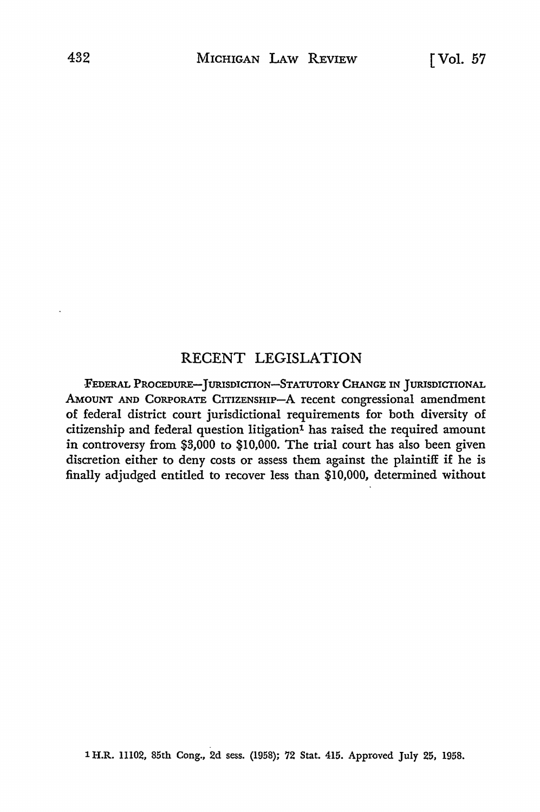## RECENT LEGISLATION

FEDERAL PROCEDURE-JURISDICTION-STATUTORY CHANGE IN JURISDICTIONAL AMOUNT AND CORPORATE CITIZENSHIP-A recent congressional amendment of federal district court jurisdictional requirements for both diversity of citizenship and federal question litigation<sup>1</sup> has raised the required amount in controversy from \$3,000 to \$10,000. The trial court has also been given discretion either to deny costs or assess them against the plaintiff if he is finally adjudged entitled to recover less than \$10,000, determined without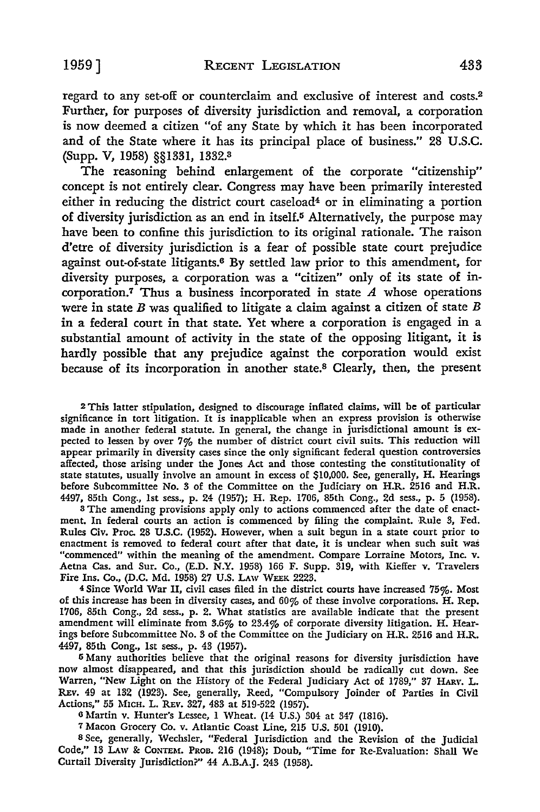regard to any set-off or counterclaim and exclusive of interest and costs.<sup>2</sup> Further, for purposes of diversity jurisdiction and removal, a corporation is now deemed a citizen "of any State by which it has been incorporated and of the State where it has its principal place of business." 28 U.S.C. (Supp. V, 1958) §§1331, 1332.<sup>3</sup>

The reasoning behind enlargement of the corporate "citizenship" concept is not entirely clear. Congress may have been primarily interested either in reducing the district court caseload4 or in eliminating a portion of diversity jurisdiction as an end in itself.5 Alternatively, the purpose may have been to confine this jurisdiction to its original rationale. The raison d'etre of diversity jurisdiction is a fear of possible state court prejudice against out-of-state litigants.6 By settled law prior to this amendment, for diversity purposes, a corporation was a "citizen" only of its state of incorporation.<sup>7</sup> Thus a business incorporated in state  $A$  whose operations were in state  $B$  was qualified to litigate a claim against a citizen of state  $B$ in a federal court in that state. Yet where a corporation is engaged in a substantial amount of activity in the state of the opposing litigant, it is hardly possible that any prejudice against the corporation would exist because of its incorporation in another state.8 Clearly, then, the present

<sup>2</sup>This latter stipulation, designed to discourage inflated claims, will be of particular significance in tort litigation. It is inapplicable when an express provision is otherwise made in another federal statute. In general, the change in jurisdictional amount is expected to lessen by over  $7\%$  the number of district court civil suits. This reduction will appear primarily in diversity cases since the only significant federal question controversies affected, those arising under the Jones Act and those contesting the constitutionality of state statutes, usually involve an amount in excess of \$10,000. See, generally, H. Hearings before Subcommittee No. 3 of the Committee on the Judiciary on H.R. 2516 and H.R. 4497, 85th Cong., 1st sess., p. 24 (1957); H. Rep. 1706, 85th Cong., 2d sess., p. 5 (1958).

s The amending provisions apply only to actions commenced after the date of enactment. In federal courts an action is commenced by filing the complaint. Rule 3, Fed. Rules Civ. Proc. 28 U.S.C. (1952). However, when a suit begun in a state court prior to enactment is removed to federal court after that date, it is unclear when such suit was "commenced" within the meaning of the amendment. Compare Lorraine Motors, Inc. v. Aetna Cas. and Sur. Co., (E.D. N.Y. 1958) 166 F. Supp. 319, with Kieffer v. Travelers Fire Ins. Co., (D.C. Md. 1958) 27 U.S. LAW WEEK 2223.

<sup>4</sup>Since World War II, civil cases filed in the district courts have increased 75%. Most of this increase has been in diversity cases, and 60% of these involve corporations. H. Rep. 1706, 85th Cong., 2d sess., p. 2. What statistics are available indicate that the present amendment will eliminate from 3.6% to 23.4% of corporate diversity litigation. H. Hearings before Subcommittee No. 3 of the Committee on the Judiciary on H.R. 2516 and H.R. 4497, 85th Cong., 1st sess., p. 43 (1957).

5 Many authorities believe that the original reasons for diversity jurisdiction have now almost disappeared, and that this jurisdiction should be radically cut down. See Warren, "New Light on the History of the Federal Judiciary Act of 1789," 37 HARV. L. REv. 49 at 132 (1923). See, generally, Reed, "Compulsory Joinder of Parties in Civil Actions," 55 MICH. L. REv. 327, 483 at 519-522 (1957).

<sup>6</sup>Martin v. Hunter's Lessee, 1 Wheat. (14 U.S.) 304 at 347 (1816).

7 Macon Grocery Co. v. Atlantic Coast Line, 215 U.S. 501 (1910).

s See, generally, Wechsler, "Federal Jurisdiction and the Revision of the Judicial Code," 13 LAw & CoNTEM. PROB. 216 (1948); Doub, "Time for Re-Evaluation: Shall We Curtail Diversity Jurisdiction?" 44 A.B.A.J. 243 (1958).